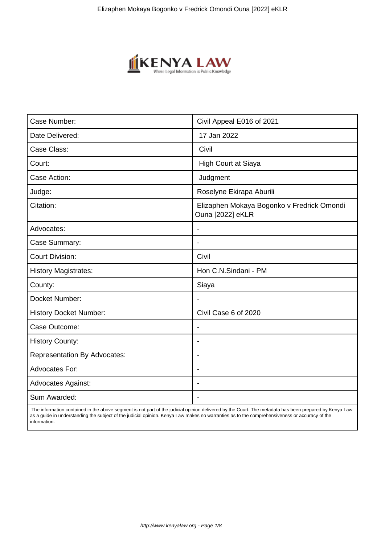

| Case Number:                        | Civil Appeal E016 of 2021                                      |
|-------------------------------------|----------------------------------------------------------------|
| Date Delivered:                     | 17 Jan 2022                                                    |
| Case Class:                         | Civil                                                          |
| Court:                              | <b>High Court at Siaya</b>                                     |
| Case Action:                        | Judgment                                                       |
| Judge:                              | Roselyne Ekirapa Aburili                                       |
| Citation:                           | Elizaphen Mokaya Bogonko v Fredrick Omondi<br>Ouna [2022] eKLR |
| Advocates:                          |                                                                |
| Case Summary:                       |                                                                |
| <b>Court Division:</b>              | Civil                                                          |
| <b>History Magistrates:</b>         | Hon C.N.Sindani - PM                                           |
| County:                             | Siaya                                                          |
| Docket Number:                      |                                                                |
| <b>History Docket Number:</b>       | Civil Case 6 of 2020                                           |
| Case Outcome:                       |                                                                |
| <b>History County:</b>              | $\overline{\phantom{a}}$                                       |
| <b>Representation By Advocates:</b> | $\blacksquare$                                                 |
| <b>Advocates For:</b>               | $\blacksquare$                                                 |
| <b>Advocates Against:</b>           | $\blacksquare$                                                 |
| Sum Awarded:                        |                                                                |

 The information contained in the above segment is not part of the judicial opinion delivered by the Court. The metadata has been prepared by Kenya Law as a guide in understanding the subject of the judicial opinion. Kenya Law makes no warranties as to the comprehensiveness or accuracy of the information.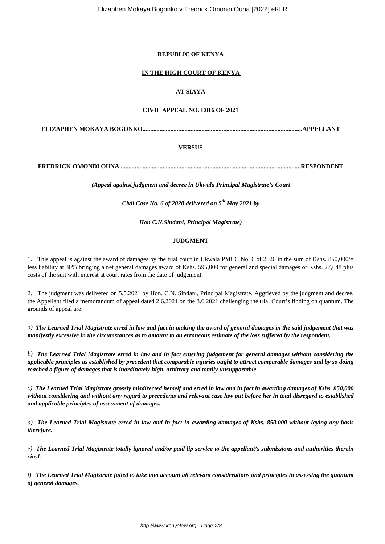## **REPUBLIC OF KENYA**

## **IN THE HIGH COURT OF KENYA**

# **AT SIAYA**

### **CIVIL APPEAL NO. E016 OF 2021**

**ELIZAPHEN MOKAYA BOGONKO.......................................................................................................APPELLANT**

## **VERSUS**

**FREDRICK OMONDI OUNA.....................................................................................................................RESPONDENT**

*(Appeal against judgment and decree in Ukwala Principal Magistrate's Court*

*Civil Case No. 6 of 2020 delivered on 5th May 2021 by*

*Hon C.N.Sindani, Principal Magistrate)*

#### **JUDGMENT**

1. This appeal is against the award of damages by the trial court in Ukwala PMCC No. 6 of 2020 in the sum of Kshs. 850,000/= less liability at 30% bringing a net general damages award of Kshs. 595,000 for general and special damages of Kshs. 27,648 plus costs of the suit with interest at court rates from the date of judgement.

2. The judgment was delivered on 5.5.2021 by Hon. C.N. Sindani, Principal Magistrate. Aggrieved by the judgment and decree, the Appellant filed a memorandum of appeal dated 2.6.2021 on the 3.6.2021 challenging the trial Court's finding on quantum. The grounds of appeal are:

*a) The Learned Trial Magistrate erred in law and fact in making the award of general damages in the said judgement that was manifestly excessive in the circumstances as to amount to an erroneous estimate of the loss suffered by the respondent.*

*b) The Learned Trial Magistrate erred in law and in fact entering judgement for general damages without considering the applicable principles as established by precedent that comparable injuries ought to attract comparable damages and by so doing reached a figure of damages that is inordinately high, arbitrary and totally unsupportable.*

*c) The Learned Trial Magistrate grossly misdirected herself and erred in law and in fact in awarding damages of Kshs. 850,000 without considering and without any regard to precedents and relevant case law put before her in total disregard to established and applicable principles of assessment of damages.*

*d) The Learned Trial Magistrate erred in law and in fact in awarding damages of Kshs. 850,000 without laying any basis therefore.*

*e) The Learned Trial Magistrate totally ignored and/or paid lip service to the appellant's submissions and authorities therein cited.*

*f) The Learned Trial Magistrate failed to take into account all relevant considerations and principles in assessing the quantum of general damages.*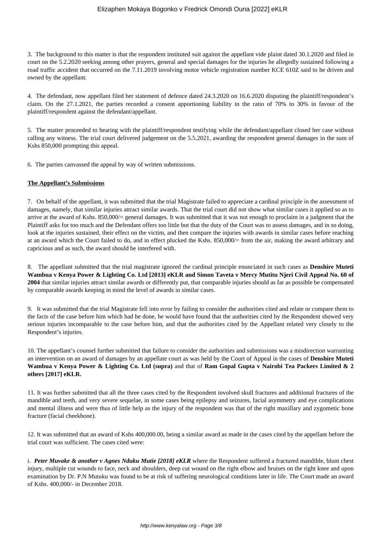3. The background to this matter is that the respondent instituted suit against the appellant vide plaint dated 30.1.2020 and filed in court on the 5.2.2020 seeking among other prayers, general and special damages for the injuries he allegedly sustained following a road traffic accident that occurred on the 7.11.2019 involving motor vehicle registration number KCE 610Z said to be driven and owned by the appellant.

4. The defendant, now appellant filed her statement of defence dated 24.3.2020 on 16.6.2020 disputing the plaintiff/respondent's claim. On the 27.1.2021, the parties recorded a consent apportioning liability in the ratio of 70% to 30% in favour of the plaintiff/respondent against the defendant/appellant.

5. The matter proceeded to hearing with the plaintiff/respondent testifying while the defendant/appellant closed her case without calling any witness. The trial court delivered judgement on the 5.5.2021, awarding the respondent general damages in the sum of Kshs 850,000 prompting this appeal.

6. The parties canvassed the appeal by way of written submissions.

#### **The Appellant's Submissions**

7. On behalf of the appellant, it was submitted that the trial Magistrate failed to appreciate a cardinal principle in the assessment of damages, namely, that similar injuries attract similar awards. That the trial court did not show what similar cases it applied so as to arrive at the award of Kshs. 850,000/= general damages. It was submitted that it was not enough to proclaim in a judgment that the Plaintiff asks for too much and the Defendant offers too little but that the duty of the Court was to assess damages, and in so doing, look at the injuries sustained, their effect on the victim, and then compare the injuries with awards in similar cases before reaching at an award which the Court failed to do, and in effect plucked the Kshs. 850,000/= from the air, making the award arbitrary and capricious and as such, the award should be interfered with.

8. The appellant submitted that the trial magistrate ignored the cardinal principle enunciated in such cases as **Denshire Muteti Wambua v Kenya Power & Lighting Co. Ltd [2013] eKLR and Simon Taveta v Mercy Mutitu Njeri Civil Appeal No. 60 of 2004** that similar injuries attract similar awards or differently put, that comparable injuries should as far as possible be compensated by comparable awards keeping in mind the level of awards in similar cases.

9. It was submitted that the trial Magistrate fell into error by failing to consider the authorities cited and relate or compare them to the facts of the case before him which had he done, he would have found that the authorities cited by the Respondent showed very serious injuries incomparable to the case before him, and that the authorities cited by the Appellant related very closely to the Respondent's injuries.

10. The appellant's counsel further submitted that failure to consider the authorities and submissions was a misdirection warranting an intervention on an award of damages by an appellate court as was held by the Court of Appeal in the cases of **Denshire Muteti Wambua v Kenya Power & Lighting Co. Ltd (supra)** and that of **Ram Gopal Gupta v Nairobi Tea Packers Limited & 2 others [2017] eKLR.** 

11. It was further submitted that all the three cases cited by the Respondent involved skull fractures and additional fractures of the mandible and teeth, and very severe sequelae, in some cases being epilepsy and seizures, facial asymmetry and eye complications and mental illness and were thus of little help as the injury of the respondent was that of the right maxillary and zygometic bone fracture (facial cheekbone).

12. It was submitted that an award of Kshs 400,000.00, being a similar award as made in the cases cited by the appellant before the trial court was sufficient. The cases cited were:

i. Peter Muvake & another v Agnes Nduku Mutie [2018] eKLR where the Respondent suffered a fractured mandible, blunt chest injury, multiple cut wounds to face, neck and shoulders, deep cut wound on the right elbow and bruises on the right knee and upon examination by Dr. P.N Mutuku was found to be at risk of suffering neurological conditions later in life. The Court made an award of Kshs. 400,000/- in December 2018.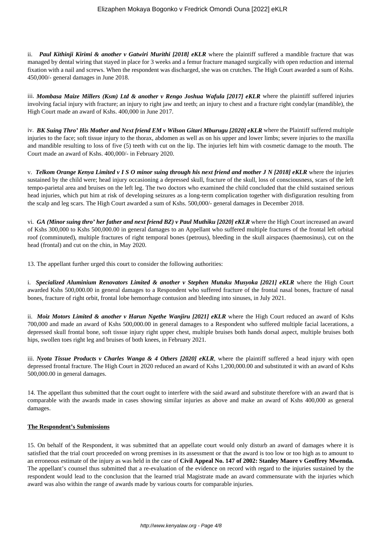ii. *Paul Kithinji Kirimi & another v Gatwiri Murithi [2018] eKLR* where the plaintiff suffered a mandible fracture that was managed by dental wiring that stayed in place for 3 weeks and a femur fracture managed surgically with open reduction and internal fixation with a nail and screws. When the respondent was discharged, she was on crutches. The High Court awarded a sum of Kshs. 450,000/- general damages in June 2018.

iii. *Mombasa Maize Millers (Ksm) Ltd & another v Rengo Joshua Wafula [2017] eKLR* where the plaintiff suffered injuries involving facial injury with fracture; an injury to right jaw and teeth; an injury to chest and a fracture right condylar (mandible), the High Court made an award of Kshs. 400,000 in June 2017.

iv. *BK Suing Thro' His Mother and Next friend EM v Wilson Gitari Mburugu [2020] eKLR* where the Plaintiff suffered multiple injuries to the face; soft tissue injury to the thorax, abdomen as well as on his upper and lower limbs; severe injuries to the maxilla and mandible resulting to loss of five (5) teeth with cut on the lip. The injuries left him with cosmetic damage to the mouth. The Court made an award of Kshs. 400,000/- in February 2020.

v. *Telkom Orange Kenya Limited v I S O minor suing through his next friend and mother J N [2018] eKLR* where the injuries sustained by the child were; head injury occasioning a depressed skull, fracture of the skull, loss of consciousness, scars of the left tempo-parietal area and bruises on the left leg. The two doctors who examined the child concluded that the child sustained serious head injuries, which put him at risk of developing seizures as a long-term complication together with disfiguration resulting from the scalp and leg scars. The High Court awarded a sum of Kshs. 500,000/- general damages in December 2018.

vi. *GA (Minor suing thro' her father and next friend BZ) v Paul Muthiku [2020] eKLR* where the High Court increased an award of Kshs 300,000 to Kshs 500,000.00 in general damages to an Appellant who suffered multiple fractures of the frontal left orbital roof (comminuted), multiple fractures of right temporal bones (petrous), bleeding in the skull airspaces (haemosinus), cut on the head (frontal) and cut on the chin, in May 2020.

13. The appellant further urged this court to consider the following authorities:

i. *Specialized Aluminium Renovators Limited & another v Stephen Mutuku Musyoka [2021] eKLR* where the High Court awarded Kshs 500,000.00 in general damages to a Respondent who suffered fracture of the frontal nasal bones, fracture of nasal bones, fracture of right orbit, frontal lobe hemorrhage contusion and bleeding into sinuses, in July 2021.

ii. *Moiz Motors Limited & another v Harun Ngethe Wanjiru [2021] eKLR* where the High Court reduced an award of Kshs 700,000 and made an award of Kshs 500,000.00 in general damages to a Respondent who suffered multiple facial lacerations, a depressed skull frontal bone, soft tissue injury right upper chest, multiple bruises both hands dorsal aspect, multiple bruises both hips, swollen toes right leg and bruises of both knees, in February 2021.

iii. *Nyota Tissue Products v Charles Wanga & 4 Others [2020] eKLR*, where the plaintiff suffered a head injury with open depressed frontal fracture. The High Court in 2020 reduced an award of Kshs 1,200,000.00 and substituted it with an award of Kshs 500,000.00 in general damages.

14. The appellant thus submitted that the court ought to interfere with the said award and substitute therefore with an award that is comparable with the awards made in cases showing similar injuries as above and make an award of Kshs 400,000 as general damages.

#### **The Respondent's Submissions**

15. On behalf of the Respondent, it was submitted that an appellate court would only disturb an award of damages where it is satisfied that the trial court proceeded on wrong premises in its assessment or that the award is too low or too high as to amount to an erroneous estimate of the injury as was held in the case of **Civil Appeal No. 147 of 2002: Stanley Maore v Geoffrey Mwenda.** The appellant's counsel thus submitted that a re-evaluation of the evidence on record with regard to the injuries sustained by the respondent would lead to the conclusion that the learned trial Magistrate made an award commensurate with the injuries which award was also within the range of awards made by various courts for comparable injuries.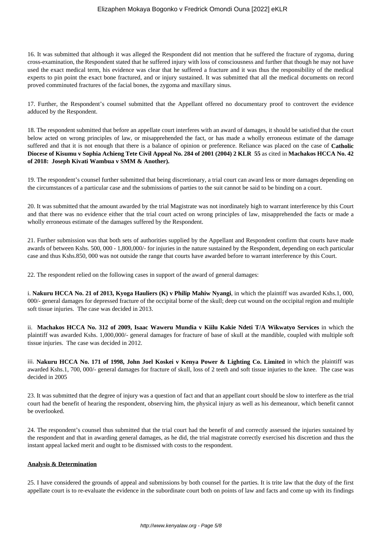16. It was submitted that although it was alleged the Respondent did not mention that he suffered the fracture of zygoma, during cross-examination, the Respondent stated that he suffered injury with loss of consciousness and further that though he may not have used the exact medical term, his evidence was clear that he suffered a fracture and it was thus the responsibility of the medical experts to pin point the exact bone fractured, and or injury sustained. It was submitted that all the medical documents on record proved comminuted fractures of the facial bones, the zygoma and maxillary sinus.

17. Further, the Respondent's counsel submitted that the Appellant offered no documentary proof to controvert the evidence adduced by the Respondent.

18. The respondent submitted that before an appellate court interferes with an award of damages, it should be satisfied that the court below acted on wrong principles of law, or misapprehended the fact, or has made a wholly erroneous estimate of the damage suffered and that it is not enough that there is a balance of opinion or preference. Reliance was placed on the case of **Catholic Diocese of Kisumu v Sophia Achieng Tete Civil Appeal No. 284 of 2001 (2004) 2 KLR 55** as cited in **Machakos HCCA No. 42 of 2018: Joseph Kivati Wambua v SMM & Another).** 

19. The respondent's counsel further submitted that being discretionary, a trial court can award less or more damages depending on the circumstances of a particular case and the submissions of parties to the suit cannot be said to be binding on a court.

20. It was submitted that the amount awarded by the trial Magistrate was not inordinately high to warrant interference by this Court and that there was no evidence either that the trial court acted on wrong principles of law, misapprehended the facts or made a wholly erroneous estimate of the damages suffered by the Respondent.

21. Further submission was that both sets of authorities supplied by the Appellant and Respondent confirm that courts have made awards of between Kshs. 500, 000 - 1,800,000/- for injuries in the nature sustained by the Respondent, depending on each particular case and thus Kshs.850, 000 was not outside the range that courts have awarded before to warrant interference by this Court.

22. The respondent relied on the following cases in support of the award of general damages:

i. **Nakuru HCCA No. 21 of 2013, Kyoga Hauliers (K) v Philip Mahiw Nyangi**, in which the plaintiff was awarded Kshs.1, 000, 000/- general damages for depressed fracture of the occipital borne of the skull; deep cut wound on the occipital region and multiple soft tissue injuries. The case was decided in 2013.

ii. **Machakos HCCA No. 312 of 2009, Isaac Waweru Mundia v Kiilu Kakie Ndeti T/A Wikwatyo Services** in which the plaintiff was awarded Kshs. 1,000,000/- general damages for fracture of base of skull at the mandible, coupled with multiple soft tissue injuries. The case was decided in 2012.

iii. **Nakuru HCCA No. 171 of 1998, John Joel Koskei v Kenya Power & Lighting Co. Limited** in which the plaintiff was awarded Kshs.1, 700, 000/- general damages for fracture of skull, loss of 2 teeth and soft tissue injuries to the knee. The case was decided in 2005

23. It was submitted that the degree of injury was a question of fact and that an appellant court should be slow to interfere as the trial court had the benefit of hearing the respondent, observing him, the physical injury as well as his demeanour, which benefit cannot be overlooked.

24. The respondent's counsel thus submitted that the trial court had the benefit of and correctly assessed the injuries sustained by the respondent and that in awarding general damages, as he did, the trial magistrate correctly exercised his discretion and thus the instant appeal lacked merit and ought to be dismissed with costs to the respondent.

#### **Analysis & Determination**

25. I have considered the grounds of appeal and submissions by both counsel for the parties. It is trite law that the duty of the first appellate court is to re-evaluate the evidence in the subordinate court both on points of law and facts and come up with its findings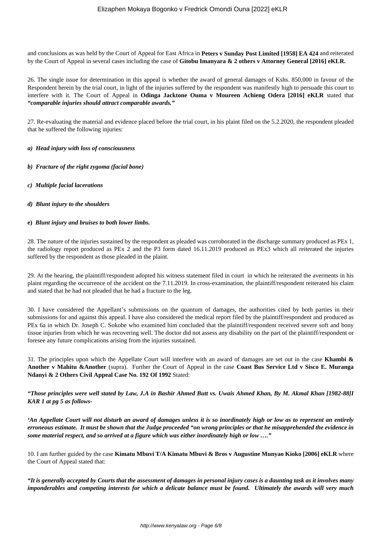and conclusions as was held by the Court of Appeal for East Africa in **Peters v Sunday Post Limited [1958] EA 424** and reiterated by the Court of Appeal in several cases including the case of **Gitobu Imanyara & 2 others v Attorney General [2016] eKLR.**

26. The single issue for determination in this appeal is whether the award of general damages of Kshs. 850,000 in favour of the Respondent herein by the trial court, in light of the injuries suffered by the respondent was manifestly high to persuade this court to interfere with it. The Court of Appeal in **Odinga Jacktone Ouma v Moureen Achieng Odera [2016] eKLR** stated that *"comparable injuries should attract comparable awards."*

27. Re-evaluating the material and evidence placed before the trial court, in his plaint filed on the 5.2.2020, the respondent pleaded that he suffered the following injuries:

#### *a) Head injury with loss of consciousness*

*b) Fracture of the right zygoma (facial bone)*

- *c) Multiple facial lacerations*
- *d) Blunt injury to the shoulders*
- **e)** *Blunt injury and bruises to both lower limbs.*

28. The nature of the injuries sustained by the respondent as pleaded was corroborated in the discharge summary produced as PEx 1, the radiology report produced as PEx 2 and the P3 form dated 16.11.2019 produced as PEx3 which all reiterated the injuries suffered by the respondent as those pleaded in the plaint.

29. At the hearing, the plaintiff/respondent adopted his witness statement filed in court in which he reiterated the averments in his plaint regarding the occurrence of the accident on the 7.11.2019. In cross-examination, the plaintiff/respondent reiterated his claim and stated that he had not pleaded that he had a fracture to the leg.

30. I have considered the Appellant's submissions on the quantum of damages, the authorities cited by both parties in their submissions for and against this appeal. I have also considered the medical report filed by the plaintiff/respondent and produced as PEx 6a in which Dr. Joseph C. Sokobe who examined him concluded that the plaintiff/respondent received severe soft and bony tissue injuries from which he was recovering well. The doctor did not assess any disability on the part of the plaintiff/respondent or foresee any future complications arising from the injuries sustained.

31. The principles upon which the Appellate Court will interfere with an award of damages are set out in the case **Khambi & Another v Mahitu &Another** (supra). Further the Court of Appeal in the case **Coast Bus Service Ltd v Sisco E. Muranga Ndanyi & 2 Others Civil Appeal Case No. 192 Of 1992** Stated:

*"Those principles were well stated by Law, J.A in Bashir Ahmed Butt vs. Uwais Ahmed Khan, By M. Akmal Khan [1982-88]I KAR 1 at pg 5 as follows-*

*'An Appellate Court will not disturb an award of damages unless it is so inordinately high or low as to represent an entirely erroneous estimate. It must be shown that the Judge proceeded "on wrong principles or that he misapprehended the evidence in some material respect, and so arrived at a figure which was either inordinately high or low …."*

10. I am further guided by the case **Kimatu Mbuvi T/A Kimatu Mbuvi & Bros v Augustine Munyao Kioko [2006] eKLR** where the Court of Appeal stated that:

*"It is generally accepted by Courts that the assessment of damages in personal injury cases is a daunting task as it involves many imponderables and competing interests for which a delicate balance must be found. Ultimately the awards will very much*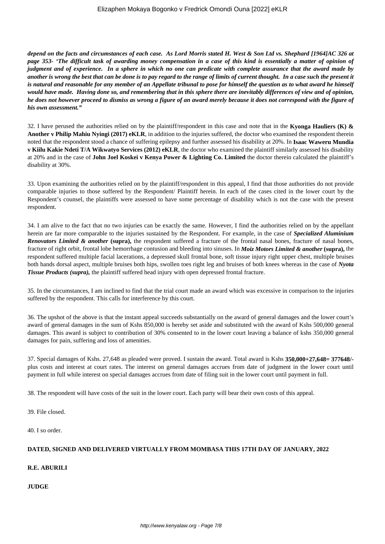*depend on the facts and circumstances of each case. As Lord Morris stated H. West & Son Ltd vs. Shephard [1964]AC 326 at page 353- 'The difficult task of awarding money compensation in a case of this kind is essentially a matter of opinion of judgment and of experience. In a sphere in which no one can predicate with complete assurance that the award made by another is wrong the best that can be done is to pay regard to the range of limits of current thought. In a case such the present it is natural and reasonable for any member of an Appellate tribunal to pose for himself the question as to what award he himself would have made. Having done so, and remembering that in this sphere there are inevitably differences of view and of opinion, he does not however proceed to dismiss as wrong a figure of an award merely because it does not correspond with the figure of his own assessment."*

32. I have perused the authorities relied on by the plaintiff/respondent in this case and note that in the **Kyonga Hauliers (K) & Another v Philip Mahiu Nyingi (2017) eKLR**, in addition to the injuries suffered, the doctor who examined the respondent therein noted that the respondent stood a chance of suffering epilepsy and further assessed his disability at 20%. In **Isaac Waweru Mundia v Kiilu Kakie Ndeti T/A Wikwatyo Services (2012) eKLR**, the doctor who examined the plaintiff similarly assessed his disability at 20% and in the case of **John Joel Koskei v Kenya Power & Lighting Co. Limited** the doctor therein calculated the plaintiff's disability at 30%.

33. Upon examining the authorities relied on by the plaintiff/respondent in this appeal, I find that those authorities do not provide comparable injuries to those suffered by the Respondent/ Plaintiff herein. In each of the cases cited in the lower court by the Respondent's counsel, the plaintiffs were assessed to have some percentage of disability which is not the case with the present respondent.

34. I am alive to the fact that no two injuries can be exactly the same. However, I find the authorities relied on by the appellant herein are far more comparable to the injuries sustained by the Respondent. For example, in the case of *Specialized Aluminium Renovators Limited & another* **(supra),** the respondent suffered a fracture of the frontal nasal bones, fracture of nasal bones, fracture of right orbit, frontal lobe hemorrhage contusion and bleeding into sinuses. In *Moiz Motors Limited & another* **(supra),** the respondent suffered multiple facial lacerations, a depressed skull frontal bone, soft tissue injury right upper chest, multiple bruises both hands dorsal aspect, multiple bruises both hips, swollen toes right leg and bruises of both knees whereas in the case of *Nyota Tissue Products (supra),* the plaintiff suffered head injury with open depressed frontal fracture.

35. In the circumstances, I am inclined to find that the trial court made an award which was excessive in comparison to the injuries suffered by the respondent. This calls for interference by this court.

36. The upshot of the above is that the instant appeal succeeds substantially on the award of general damages and the lower court's award of general damages in the sum of Kshs 850,000 is hereby set aside and substituted with the award of Kshs 500,000 general damages. This award is subject to contribution of 30% consented to in the lower court leaving a balance of kshs 350,000 general damages for pain, suffering and loss of amenities.

37. Special damages of Kshs. 27,648 as pleaded were proved. I sustain the award. Total award is Kshs **350,000+27,648= 377648/** plus costs and interest at court rates. The interest on general damages accrues from date of judgment in the lower court until payment in full while interest on special damages accrues from date of filing suit in the lower court until payment in full.

38. The respondent will have costs of the suit in the lower court. Each party will bear their own costs of this appeal.

39. File closed.

40. I so order.

# **DATED, SIGNED AND DELIVERED VIRTUALLY FROM MOMBASA THIS 17TH DAY OF JANUARY, 2022**

#### **R.E. ABURILI**

**JUDGE**